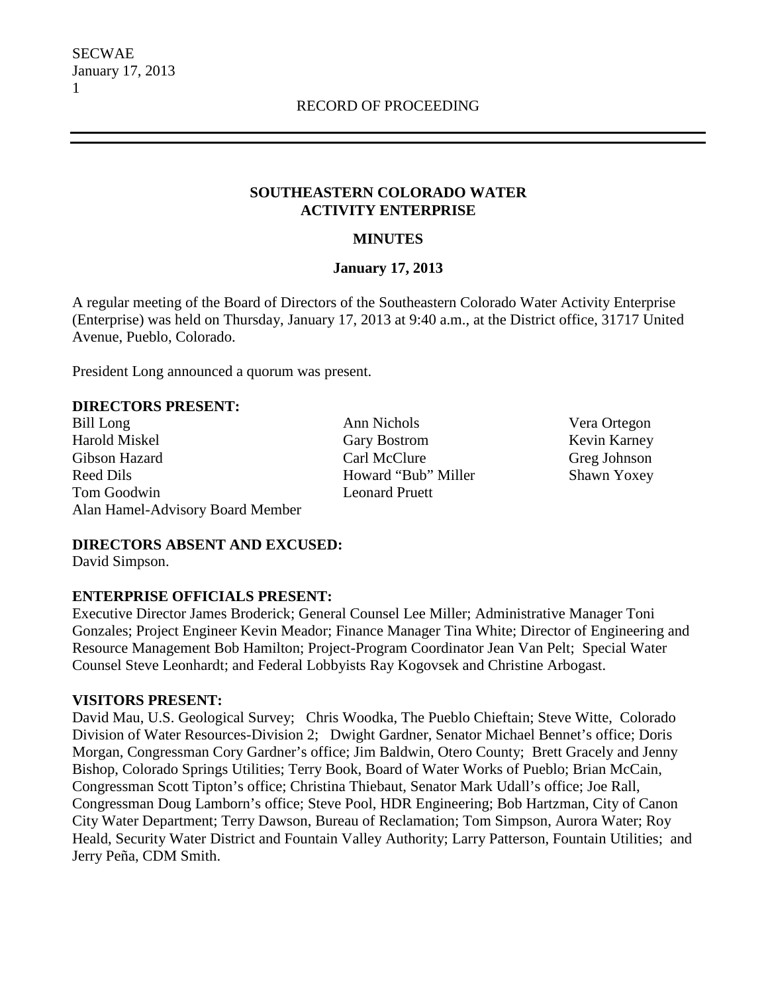### **SOUTHEASTERN COLORADO WATER ACTIVITY ENTERPRISE**

## **MINUTES**

### **January 17, 2013**

A regular meeting of the Board of Directors of the Southeastern Colorado Water Activity Enterprise (Enterprise) was held on Thursday, January 17, 2013 at 9:40 a.m., at the District office, 31717 United Avenue, Pueblo, Colorado.

President Long announced a quorum was present.

### **DIRECTORS PRESENT:**

Bill Long Ann Nichols Vera Ortegon Harold Miskel Gary Bostrom Kevin Karney Gibson Hazard Carl McClure Greg Johnson Reed Dils **Howard "Bub" Miller** Shawn Yoxey Tom Goodwin Leonard Pruett Alan Hamel-Advisory Board Member

# **DIRECTORS ABSENT AND EXCUSED:**

David Simpson.

# **ENTERPRISE OFFICIALS PRESENT:**

Executive Director James Broderick; General Counsel Lee Miller; Administrative Manager Toni Gonzales; Project Engineer Kevin Meador; Finance Manager Tina White; Director of Engineering and Resource Management Bob Hamilton; Project-Program Coordinator Jean Van Pelt; Special Water Counsel Steve Leonhardt; and Federal Lobbyists Ray Kogovsek and Christine Arbogast.

### **VISITORS PRESENT:**

David Mau, U.S. Geological Survey; Chris Woodka, The Pueblo Chieftain; Steve Witte, Colorado Division of Water Resources-Division 2; Dwight Gardner, Senator Michael Bennet's office; Doris Morgan, Congressman Cory Gardner's office; Jim Baldwin, Otero County; Brett Gracely and Jenny Bishop, Colorado Springs Utilities; Terry Book, Board of Water Works of Pueblo; Brian McCain, Congressman Scott Tipton's office; Christina Thiebaut, Senator Mark Udall's office; Joe Rall, Congressman Doug Lamborn's office; Steve Pool, HDR Engineering; Bob Hartzman, City of Canon City Water Department; Terry Dawson, Bureau of Reclamation; Tom Simpson, Aurora Water; Roy Heald, Security Water District and Fountain Valley Authority; Larry Patterson, Fountain Utilities; and Jerry Peña, CDM Smith.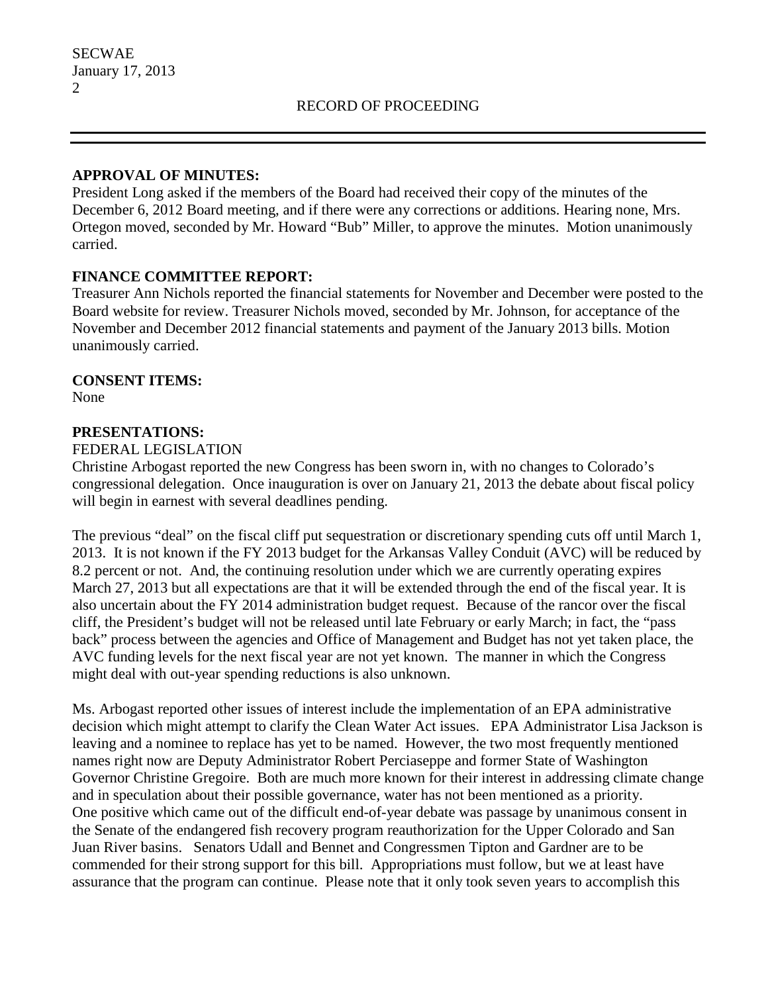### **APPROVAL OF MINUTES:**

President Long asked if the members of the Board had received their copy of the minutes of the December 6, 2012 Board meeting, and if there were any corrections or additions. Hearing none, Mrs. Ortegon moved, seconded by Mr. Howard "Bub" Miller, to approve the minutes. Motion unanimously carried.

# **FINANCE COMMITTEE REPORT:**

Treasurer Ann Nichols reported the financial statements for November and December were posted to the Board website for review. Treasurer Nichols moved, seconded by Mr. Johnson, for acceptance of the November and December 2012 financial statements and payment of the January 2013 bills. Motion unanimously carried.

### **CONSENT ITEMS:**

None

### **PRESENTATIONS:**

FEDERAL LEGISLATION

Christine Arbogast reported the new Congress has been sworn in, with no changes to Colorado's congressional delegation. Once inauguration is over on January 21, 2013 the debate about fiscal policy will begin in earnest with several deadlines pending.

The previous "deal" on the fiscal cliff put sequestration or discretionary spending cuts off until March 1, 2013. It is not known if the FY 2013 budget for the Arkansas Valley Conduit (AVC) will be reduced by 8.2 percent or not. And, the continuing resolution under which we are currently operating expires March 27, 2013 but all expectations are that it will be extended through the end of the fiscal year. It is also uncertain about the FY 2014 administration budget request. Because of the rancor over the fiscal cliff, the President's budget will not be released until late February or early March; in fact, the "pass back" process between the agencies and Office of Management and Budget has not yet taken place, the AVC funding levels for the next fiscal year are not yet known. The manner in which the Congress might deal with out-year spending reductions is also unknown.

Ms. Arbogast reported other issues of interest include the implementation of an EPA administrative decision which might attempt to clarify the Clean Water Act issues. EPA Administrator Lisa Jackson is leaving and a nominee to replace has yet to be named. However, the two most frequently mentioned names right now are Deputy Administrator Robert Perciaseppe and former State of Washington Governor Christine Gregoire. Both are much more known for their interest in addressing climate change and in speculation about their possible governance, water has not been mentioned as a priority. One positive which came out of the difficult end-of-year debate was passage by unanimous consent in the Senate of the endangered fish recovery program reauthorization for the Upper Colorado and San Juan River basins. Senators Udall and Bennet and Congressmen Tipton and Gardner are to be commended for their strong support for this bill. Appropriations must follow, but we at least have assurance that the program can continue. Please note that it only took seven years to accomplish this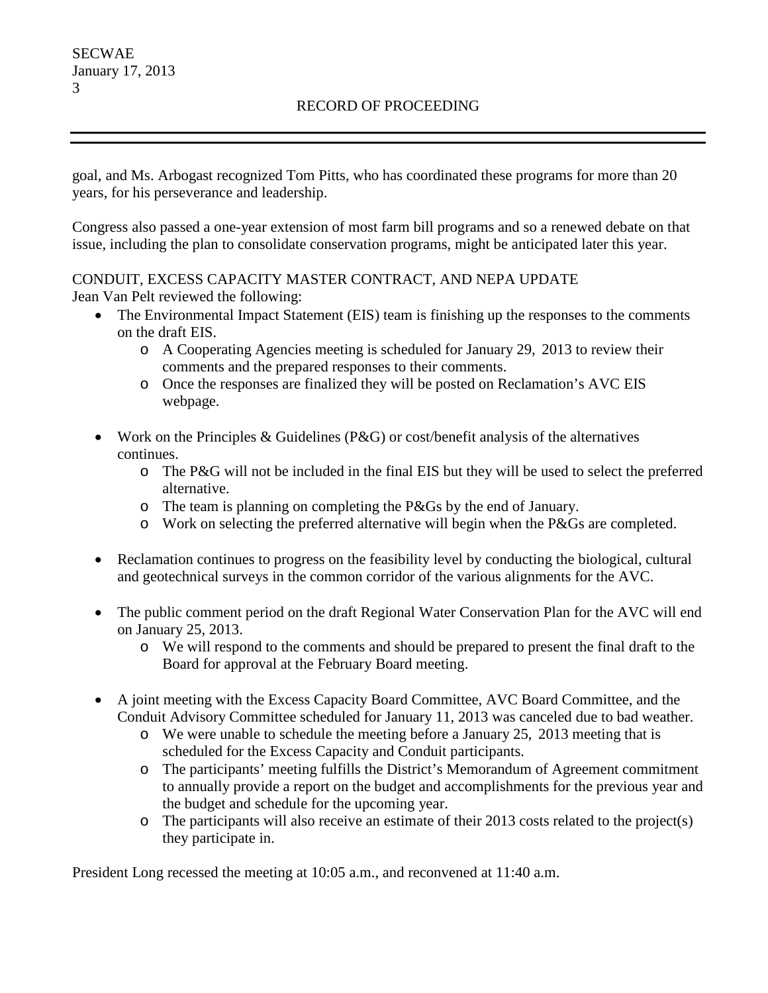### RECORD OF PROCEEDING

goal, and Ms. Arbogast recognized Tom Pitts, who has coordinated these programs for more than 20 years, for his perseverance and leadership.

Congress also passed a one-year extension of most farm bill programs and so a renewed debate on that issue, including the plan to consolidate conservation programs, might be anticipated later this year.

# CONDUIT, EXCESS CAPACITY MASTER CONTRACT, AND NEPA UPDATE

Jean Van Pelt reviewed the following:

- The Environmental Impact Statement (EIS) team is finishing up the responses to the comments on the draft EIS.
	- o A Cooperating Agencies meeting is scheduled for January 29, 2013 to review their comments and the prepared responses to their comments.
	- o Once the responses are finalized they will be posted on Reclamation's AVC EIS webpage.
- Work on the Principles & Guidelines ( $P\&G$ ) or cost/benefit analysis of the alternatives continues.
	- o The P&G will not be included in the final EIS but they will be used to select the preferred alternative.
	- o The team is planning on completing the P&Gs by the end of January.
	- o Work on selecting the preferred alternative will begin when the P&Gs are completed.
- Reclamation continues to progress on the feasibility level by conducting the biological, cultural and geotechnical surveys in the common corridor of the various alignments for the AVC.
- The public comment period on the draft Regional Water Conservation Plan for the AVC will end on January 25, 2013.
	- o We will respond to the comments and should be prepared to present the final draft to the Board for approval at the February Board meeting.
- A joint meeting with the Excess Capacity Board Committee, AVC Board Committee, and the Conduit Advisory Committee scheduled for January 11, 2013 was canceled due to bad weather.
	- o We were unable to schedule the meeting before a January 25, 2013 meeting that is scheduled for the Excess Capacity and Conduit participants.
	- o The participants' meeting fulfills the District's Memorandum of Agreement commitment to annually provide a report on the budget and accomplishments for the previous year and the budget and schedule for the upcoming year.
	- o The participants will also receive an estimate of their 2013 costs related to the project(s) they participate in.

President Long recessed the meeting at 10:05 a.m., and reconvened at 11:40 a.m.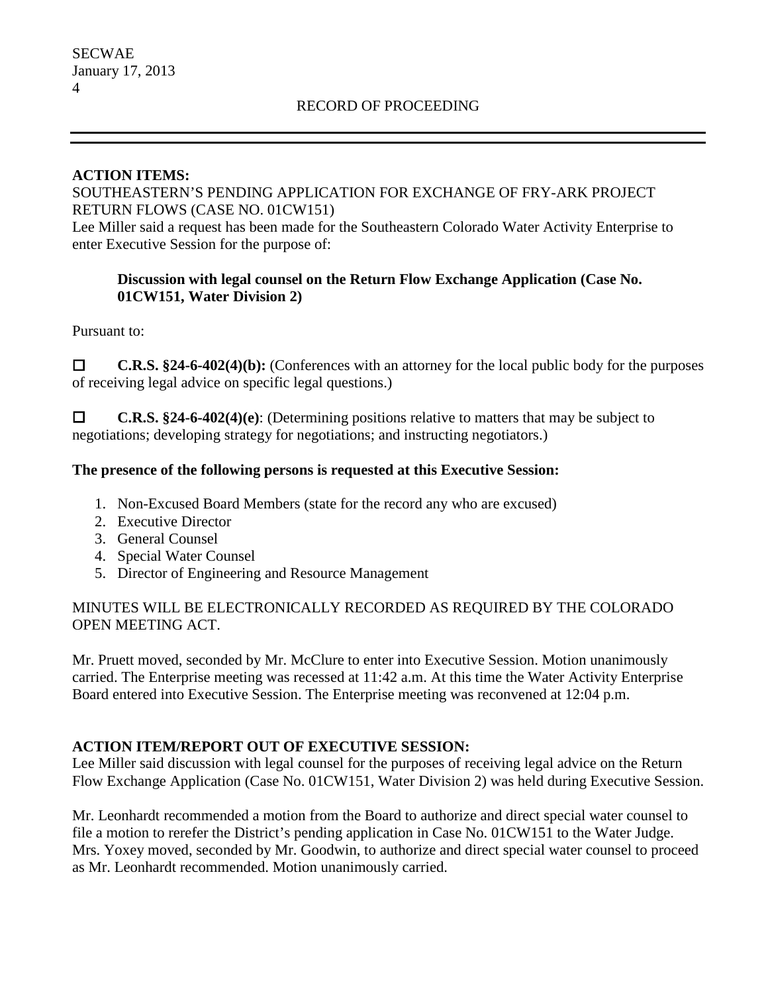### **ACTION ITEMS:**

### SOUTHEASTERN'S PENDING APPLICATION FOR EXCHANGE OF FRY-ARK PROJECT RETURN FLOWS (CASE NO. 01CW151)

Lee Miller said a request has been made for the Southeastern Colorado Water Activity Enterprise to enter Executive Session for the purpose of:

# **Discussion with legal counsel on the Return Flow Exchange Application (Case No. 01CW151, Water Division 2)**

Pursuant to:

 **C.R.S. §24-6-402(4)(b):** (Conferences with an attorney for the local public body for the purposes of receiving legal advice on specific legal questions.)

 **C.R.S. §24-6-402(4)(e)**: (Determining positions relative to matters that may be subject to negotiations; developing strategy for negotiations; and instructing negotiators.)

# **The presence of the following persons is requested at this Executive Session:**

- 1. Non-Excused Board Members (state for the record any who are excused)
- 2. Executive Director
- 3. General Counsel
- 4. Special Water Counsel
- 5. Director of Engineering and Resource Management

### MINUTES WILL BE ELECTRONICALLY RECORDED AS REQUIRED BY THE COLORADO OPEN MEETING ACT.

Mr. Pruett moved, seconded by Mr. McClure to enter into Executive Session. Motion unanimously carried. The Enterprise meeting was recessed at 11:42 a.m. At this time the Water Activity Enterprise Board entered into Executive Session. The Enterprise meeting was reconvened at 12:04 p.m.

# **ACTION ITEM/REPORT OUT OF EXECUTIVE SESSION:**

Lee Miller said discussion with legal counsel for the purposes of receiving legal advice on the Return Flow Exchange Application (Case No. 01CW151, Water Division 2) was held during Executive Session.

Mr. Leonhardt recommended a motion from the Board to authorize and direct special water counsel to file a motion to rerefer the District's pending application in Case No. 01CW151 to the Water Judge. Mrs. Yoxey moved, seconded by Mr. Goodwin, to authorize and direct special water counsel to proceed as Mr. Leonhardt recommended. Motion unanimously carried.